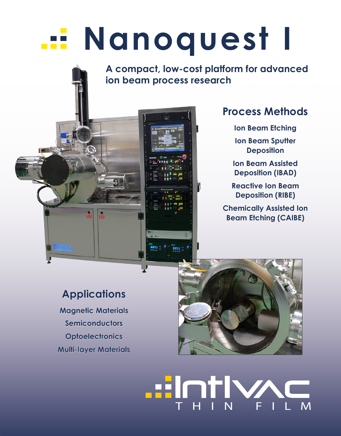# **Nanoquest I**

**A compact, low-cost platform for advanced ion beam process research**

### **Process Methods**

- **Ion Beam Etching**
- **Ion Beam Sputter Deposition**
- **Ion Beam Assisted Deposition (IBAD)**
- **Reactive Ion Beam Deposition (RIBE)**
- **Chemically Assisted Ion Beam Etching (CAIBE)**

### **Applications**

**Magnetic Materials Semiconductors Optoelectronics Multi-layer Materials**



# **Hin**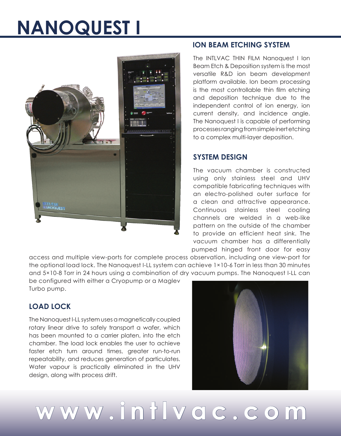## **NANOQUEST I**



#### **ION BEAM ETCHING SYSTEM**

The INTLVAC THIN FILM Nanoquest I Ion Beam Etch & Deposition system is the most versatile R&D ion beam development platform available. Ion beam processing is the most controllable thin film etching and deposition technique due to the independent control of ion energy, ion current density, and incidence angle. The Nanoquest I is capable of performing processes ranging from simple inert etching to a complex multi-layer deposition.

#### **SYSTEM DESIGN**

The vacuum chamber is constructed using only stainless steel and UHV compatible fabricating techniques with an electro-polished outer surface for a clean and attractive appearance. Continuous stainless steel cooling channels are welded in a web-like pattern on the outside of the chamber to provide an efficient heat sink. The vacuum chamber has a differentially pumped hinged front door for easy

access and multiple view-ports for complete process observation, including one view-port for the optional load lock. The Nanoquest I-LL system can achieve 1×10-6 Torr in less than 30 minutes and 5×10-8 Torr in 24 hours using a combination of dry vacuum pumps. The Nanoquest I-LL can

be configured with either a Cryopump or a Maglev Turbo pump.

#### **LOAD LOCK**

The Nanoquest I-LL system uses a magnetically coupled rotary linear drive to safely transport a wafer, which has been mounted to a carrier platen, into the etch chamber. The load lock enables the user to achieve faster etch turn around times, greater run-to-run repeatability, and reduces generation of particulates. Water vapour is practically eliminated in the UHV design, along with process drift.



**www.intlvac.com**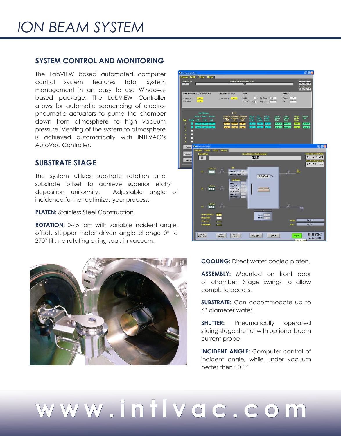## *ION BEAM SYSTEM*

#### **SYSTEM CONTROL AND MONITORING**

The LabVIEW based automated computer control system features total system management in an easy to use Windowsbased package. The LabVIEW Controller allows for automatic sequencing of electropneumatic actuators to pump the chamber down from atmosphere to high vacuum pressure. Venting of the system to atmosphere is achieved automatically with INTLVAC's AutoVac Controller.

#### **SUBSTRATE STAGE**

The system utilizes substrate rotation and substrate offset to achieve superior etch/ deposition uniformity. Adjustable angle of incidence further optimizes your process.

**PLATEN:** Stainless Steel Construction

**ROTATION:** 0-45 rpm with variable incident angle, offset, stepper motor driven angle change 0° to 270° tilt, no rotating o-ring seals in vacuum.





**COOLING:** Direct water-cooled platen.

**ASSEMBLY:** Mounted on front door of chamber. Stage swings to allow complete access.

**SUBSTRATE:** Can accommodate up to 6" diameter wafer.

**SHUTTER:** Pneumatically operated sliding stage shutter with optional beam current probe.

**INCIDENT ANGLE:** Computer control of incident angle, while under vacuum better then ±0.1°

# **www.intlvac.com**